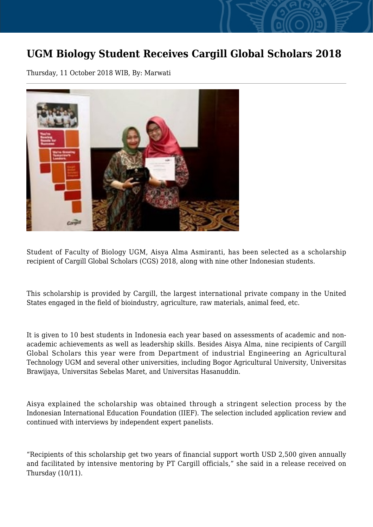## **UGM Biology Student Receives Cargill Global Scholars 2018**

Thursday, 11 October 2018 WIB, By: Marwati



Student of Faculty of Biology UGM, Aisya Alma Asmiranti, has been selected as a scholarship recipient of Cargill Global Scholars (CGS) 2018, along with nine other Indonesian students.

This scholarship is provided by Cargill, the largest international private company in the United States engaged in the field of bioindustry, agriculture, raw materials, animal feed, etc.

It is given to 10 best students in Indonesia each year based on assessments of academic and nonacademic achievements as well as leadership skills. Besides Aisya Alma, nine recipients of Cargill Global Scholars this year were from Department of industrial Engineering an Agricultural Technology UGM and several other universities, including Bogor Agricultural University, Universitas Brawijaya, Universitas Sebelas Maret, and Universitas Hasanuddin.

Aisya explained the scholarship was obtained through a stringent selection process by the Indonesian International Education Foundation (IIEF). The selection included application review and continued with interviews by independent expert panelists.

"Recipients of this scholarship get two years of financial support worth USD 2,500 given annually and facilitated by intensive mentoring by PT Cargill officials," she said in a release received on Thursday (10/11).